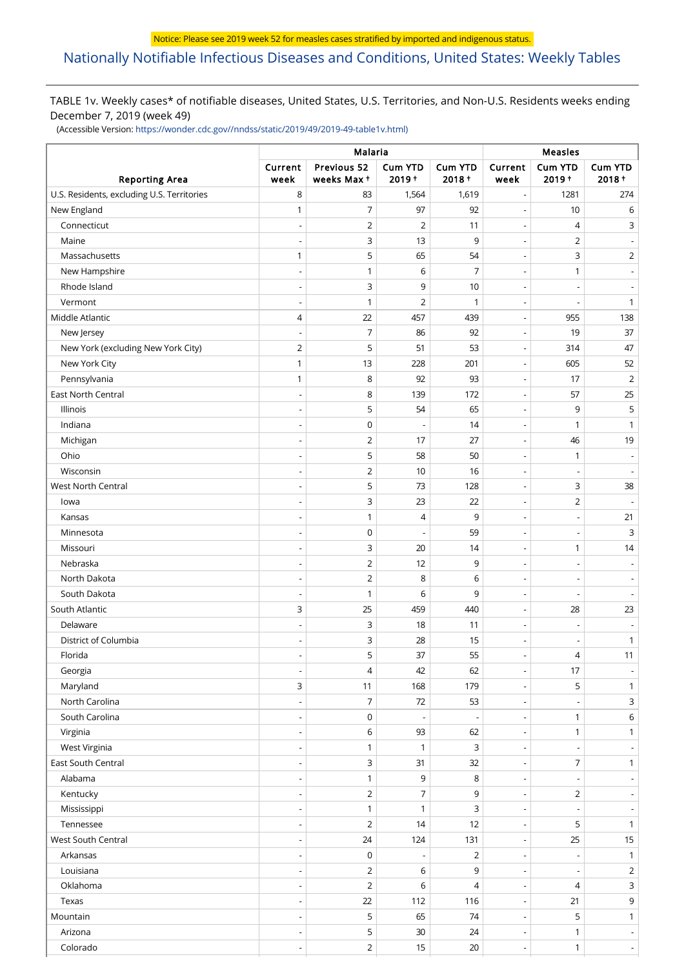# [Nationally Notifiable Infectious Diseases and Conditions, United States: Weekly Tables](https://wwwn.cdc.gov/nndss/)

## TABLE 1v. Weekly cases\* of notifiable diseases, United States, U.S. Territories, and Non-U.S. Residents weeks ending December 7, 2019 (week 49)

(Accessible Version: [https://wonder.cdc.gov//nndss/static/2019/49/2019-49-table1v.html\)](https://wonder.cdc.gov//nndss/static/2019/49/2019-49-table1v.html)

|                                            |                          | Malaria                   | Measles                    |                            |                          |                          |                             |
|--------------------------------------------|--------------------------|---------------------------|----------------------------|----------------------------|--------------------------|--------------------------|-----------------------------|
| <b>Reporting Area</b>                      | Current<br>week          | Previous 52<br>weeks Max+ | <b>Cum YTD</b><br>$2019 +$ | <b>Cum YTD</b><br>$2018 +$ | Current<br>week          | Cum YTD<br>$2019 +$      | <b>Cum YTD</b><br>$2018 +$  |
| U.S. Residents, excluding U.S. Territories | 8                        | 83                        | 1,564                      | 1,619                      | $\overline{\phantom{a}}$ | 1281                     | 274                         |
| New England                                | 1                        | 7                         | 97                         | 92                         | $\overline{\phantom{a}}$ | 10                       | 6                           |
| Connecticut                                |                          | $\overline{2}$            | $\overline{2}$             | 11                         | $\overline{\phantom{a}}$ | 4                        | 3                           |
| Maine                                      |                          | 3                         | 13                         | 9                          | Ĭ.                       | $\overline{2}$           |                             |
| Massachusetts                              | 1                        | 5                         | 65                         | 54                         | $\overline{\phantom{a}}$ | 3                        | $\overline{2}$              |
| New Hampshire                              |                          | 1                         | 6                          | $\overline{7}$             | $\overline{\phantom{a}}$ | 1                        | $\blacksquare$              |
| Rhode Island                               | $\overline{\phantom{a}}$ | 3                         | 9                          | 10                         | $\overline{\phantom{a}}$ |                          | $\overline{\phantom{m}}$    |
| Vermont                                    | $\overline{\phantom{a}}$ | 1                         | $\overline{2}$             | 1                          | $\overline{a}$           |                          | $\mathbf{1}$                |
| Middle Atlantic                            | 4                        | 22                        | 457                        | 439                        | $\overline{\phantom{a}}$ | 955                      | 138                         |
| New Jersey                                 | $\overline{\phantom{a}}$ | 7                         | 86                         | 92                         | $\overline{\phantom{a}}$ | 19                       | 37                          |
| New York (excluding New York City)         | $\overline{2}$           | 5                         | 51                         | 53                         | $\overline{\phantom{a}}$ | 314                      | 47                          |
| New York City                              | 1                        | 13                        | 228                        | 201                        | $\overline{\phantom{a}}$ | 605                      | 52                          |
| Pennsylvania                               | 1                        | 8                         | 92                         | 93                         | $\overline{a}$           | 17                       | $\overline{2}$              |
| East North Central                         | $\overline{\phantom{a}}$ | 8                         | 139                        | 172                        | $\overline{\phantom{a}}$ | 57                       | 25                          |
| Illinois                                   |                          | 5                         | 54                         | 65                         | $\overline{\phantom{a}}$ | 9                        | 5                           |
| Indiana                                    | $\overline{\phantom{a}}$ | $\mathbf 0$               |                            | 14                         | $\overline{\phantom{a}}$ | $\mathbf{1}$             | $\mathbf{1}$                |
| Michigan                                   | $\overline{a}$           | $\overline{2}$            | 17                         | 27                         | $\overline{a}$           | 46                       | 19                          |
| Ohio                                       | $\overline{\phantom{a}}$ | 5                         | 58                         | 50                         | $\overline{\phantom{a}}$ | 1                        | $\overline{\phantom{a}}$    |
| Wisconsin                                  |                          | $\overline{2}$            | 10                         | 16                         | $\overline{\phantom{a}}$ |                          | $\overline{a}$              |
| <b>West North Central</b>                  | $\overline{\phantom{a}}$ | 5                         | 73                         | 128                        | $\overline{\phantom{a}}$ | 3                        | 38                          |
| lowa                                       | $\overline{\phantom{a}}$ | 3                         | 23                         | 22                         | $\overline{a}$           | $\overline{2}$           | $\overline{\phantom{a}}$    |
| Kansas                                     | $\overline{\phantom{a}}$ | 1                         | 4                          | 9                          | $\overline{\phantom{a}}$ | $\overline{a}$           | 21                          |
| Minnesota                                  | $\overline{\phantom{a}}$ | $\mathbf 0$               |                            | 59                         | $\overline{\phantom{a}}$ | $\overline{a}$           | 3                           |
| Missouri                                   |                          | 3                         | 20                         | 14                         | $\overline{a}$           | 1                        | 14                          |
| Nebraska                                   | $\overline{\phantom{a}}$ | $\overline{2}$            | 12                         | 9                          | $\overline{\phantom{a}}$ |                          | $\overline{\phantom{a}}$    |
| North Dakota                               |                          | $\overline{2}$            | 8                          | 6                          | Ĭ.                       |                          | $\overline{\phantom{m}}$    |
| South Dakota                               | $\overline{\phantom{a}}$ | 1                         | 6                          | 9                          | $\overline{\phantom{a}}$ | $\overline{\phantom{a}}$ | $\overline{\phantom{a}}$    |
| South Atlantic                             | 3                        | 25                        | 459                        | 440                        | Ĭ.                       | 28                       | 23                          |
| Delaware                                   | $\overline{\phantom{a}}$ | 3                         | 18                         | 11                         | $\overline{\phantom{a}}$ |                          | $\overline{\phantom{m}}$    |
| District of Columbia                       |                          | 3                         | 28                         | 15                         | Ĭ.                       |                          | $\mathbf{1}$                |
| Florida                                    |                          | 5                         | 37                         | 55                         |                          | 4                        | 11                          |
| Georgia                                    | $\overline{\phantom{a}}$ | 4                         | 42                         | 62                         | $\overline{\phantom{a}}$ | 17                       | $\overline{\phantom{a}}$    |
| Maryland                                   | 3                        | 11                        | 168                        | 179                        | $\overline{\phantom{a}}$ | 5                        | $\mathbf{1}$                |
| North Carolina                             | $\overline{\phantom{a}}$ | 7                         | 72                         | 53                         | $\overline{\phantom{a}}$ |                          | $\mathsf{3}$                |
| South Carolina                             | $\overline{\phantom{a}}$ | $\mathsf{O}\xspace$       |                            | $\overline{\phantom{a}}$   | $\overline{\phantom{a}}$ | 1                        | $6\,$                       |
| Virginia                                   | $\overline{\phantom{a}}$ | 6                         | 93                         | 62                         | $\overline{\phantom{a}}$ | $\mathbf{1}$             | $\mathbf{1}$                |
| West Virginia                              |                          | $\mathbf{1}$              | $\mathbf{1}$               | 3                          | $\overline{a}$           |                          | $\overline{\phantom{a}}$    |
| East South Central                         | $\overline{\phantom{a}}$ | 3                         | 31                         | 32                         | $\overline{\phantom{a}}$ | 7                        | $\mathbf{1}$                |
| Alabama                                    | $\overline{\phantom{a}}$ | $\mathbf{1}$              | 9                          | 8                          | $\overline{\phantom{a}}$ |                          | $\overline{\phantom{a}}$    |
| Kentucky                                   | $\overline{\phantom{a}}$ | $\overline{2}$            | $\overline{7}$             | 9                          | $\overline{\phantom{a}}$ | $\overline{2}$           | $\overline{\phantom{a}}$    |
| Mississippi                                | $\overline{\phantom{a}}$ | $\mathbf{1}$              | $\mathbf{1}$               | 3                          | $\overline{\phantom{a}}$ |                          | $\overline{\phantom{a}}$    |
| Tennessee                                  | $\overline{\phantom{a}}$ | $\overline{2}$            | 14                         | 12                         | $\overline{\phantom{a}}$ | 5                        | $\mathbf{1}$                |
| West South Central                         | $\overline{a}$           | 24                        | 124                        | 131                        | $\overline{\phantom{a}}$ | 25                       | 15                          |
| Arkansas                                   | $\overline{\phantom{a}}$ | $\mathsf 0$               | $\overline{\phantom{a}}$   | $\overline{2}$             | $\overline{\phantom{a}}$ | $\overline{\phantom{a}}$ | $\mathbf{1}$                |
| Louisiana                                  | $\overline{\phantom{a}}$ | $\overline{2}$            | 6                          | 9                          | $\overline{\phantom{a}}$ | $\overline{a}$           | $\overline{2}$              |
| Oklahoma                                   |                          | $\overline{2}$            | 6                          | 4                          | $\overline{a}$           | 4                        | $\mathsf{3}$                |
| Texas                                      | $\overline{\phantom{a}}$ | 22                        | 112                        | 116                        | $\overline{\phantom{a}}$ | 21                       | 9                           |
| Mountain                                   | $\overline{a}$           | 5                         | 65                         | 74                         | $\overline{\phantom{a}}$ | 5                        | $\mathbf{1}$                |
| Arizona                                    | $\overline{\phantom{a}}$ | 5                         | 30                         | 24                         | $\overline{\phantom{a}}$ | 1                        | $\sim$                      |
| Colorado                                   |                          | $\overline{2}$            | 15                         | 20                         | $\blacksquare$           | $\mathbf{1}$             | $\mathcal{L}_{\mathcal{A}}$ |